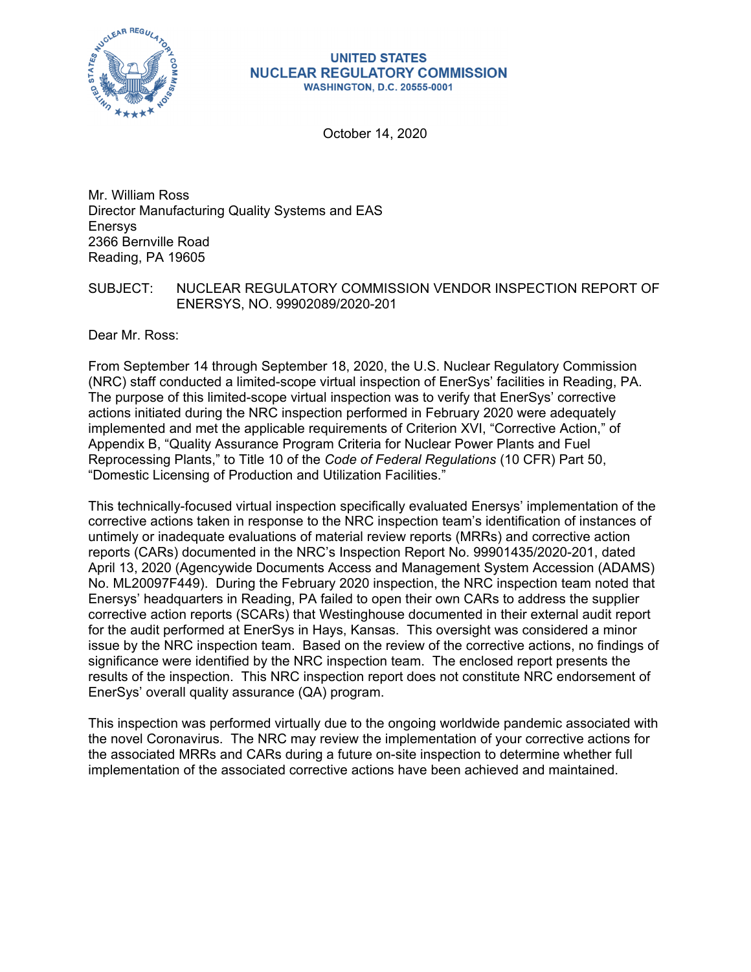

#### **UNITED STATES NUCLEAR REGULATORY COMMISSION WASHINGTON, D.C. 20555-0001**

October 14, 2020

Mr. William Ross Director Manufacturing Quality Systems and EAS Enersys 2366 Bernville Road Reading, PA 19605

### SUBJECT: NUCLEAR REGULATORY COMMISSION VENDOR INSPECTION REPORT OF ENERSYS, NO. 99902089/2020-201

Dear Mr. Ross:

From September 14 through September 18, 2020, the U.S. Nuclear Regulatory Commission (NRC) staff conducted a limited-scope virtual inspection of EnerSys' facilities in Reading, PA. The purpose of this limited-scope virtual inspection was to verify that EnerSys' corrective actions initiated during the NRC inspection performed in February 2020 were adequately implemented and met the applicable requirements of Criterion XVI, "Corrective Action," of Appendix B, "Quality Assurance Program Criteria for Nuclear Power Plants and Fuel Reprocessing Plants," to Title 10 of the *Code of Federal Regulations* (10 CFR) Part 50, "Domestic Licensing of Production and Utilization Facilities."

This technically-focused virtual inspection specifically evaluated Enersys' implementation of the corrective actions taken in response to the NRC inspection team's identification of instances of untimely or inadequate evaluations of material review reports (MRRs) and corrective action reports (CARs) documented in the NRC's Inspection Report No. 99901435/2020-201, dated April 13, 2020 (Agencywide Documents Access and Management System Accession (ADAMS) No. ML20097F449). During the February 2020 inspection, the NRC inspection team noted that Enersys' headquarters in Reading, PA failed to open their own CARs to address the supplier corrective action reports (SCARs) that Westinghouse documented in their external audit report for the audit performed at EnerSys in Hays, Kansas. This oversight was considered a minor issue by the NRC inspection team. Based on the review of the corrective actions, no findings of significance were identified by the NRC inspection team. The enclosed report presents the results of the inspection. This NRC inspection report does not constitute NRC endorsement of EnerSys' overall quality assurance (QA) program.

This inspection was performed virtually due to the ongoing worldwide pandemic associated with the novel Coronavirus. The NRC may review the implementation of your corrective actions for the associated MRRs and CARs during a future on-site inspection to determine whether full implementation of the associated corrective actions have been achieved and maintained.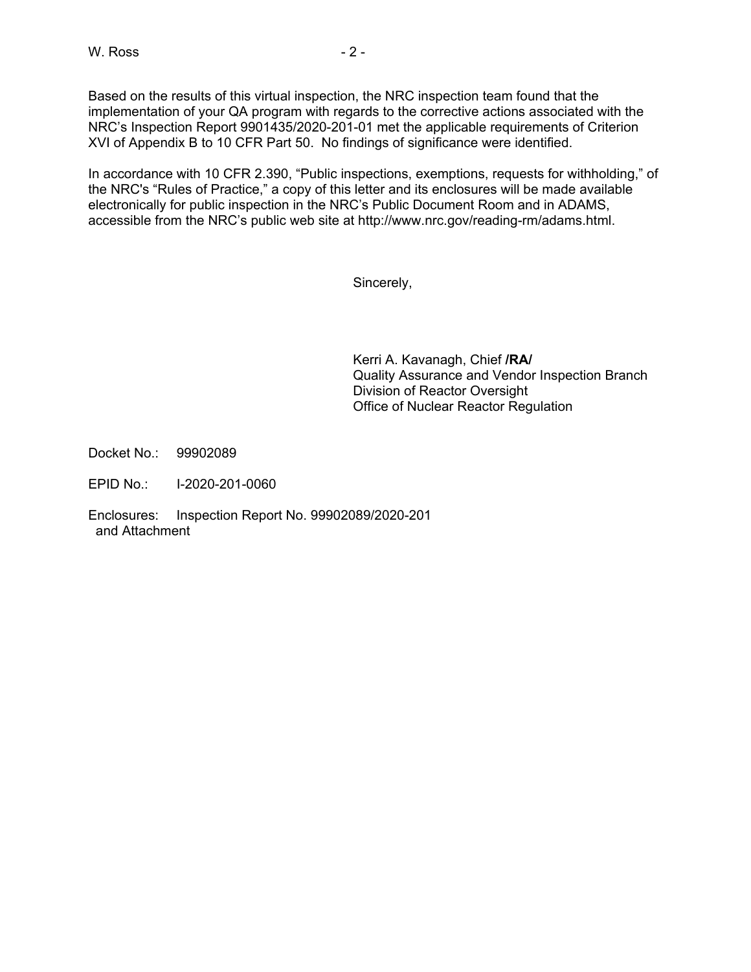Based on the results of this virtual inspection, the NRC inspection team found that the implementation of your QA program with regards to the corrective actions associated with the NRC's Inspection Report 9901435/2020-201-01 met the applicable requirements of Criterion XVI of Appendix B to 10 CFR Part 50. No findings of significance were identified.

In accordance with 10 CFR 2.390, "Public inspections, exemptions, requests for withholding," of the NRC's "Rules of Practice," a copy of this letter and its enclosures will be made available electronically for public inspection in the NRC's Public Document Room and in ADAMS, accessible from the NRC's public web site at http://www.nrc.gov/reading-rm/adams.html.

Sincerely,

Kerri A. Kavanagh, Chief **/RA/**  Quality Assurance and Vendor Inspection Branch Division of Reactor Oversight Office of Nuclear Reactor Regulation

Docket No.: 99902089

EPID No.: I-2020-201-0060

Enclosures: Inspection Report No. 99902089/2020-201 and Attachment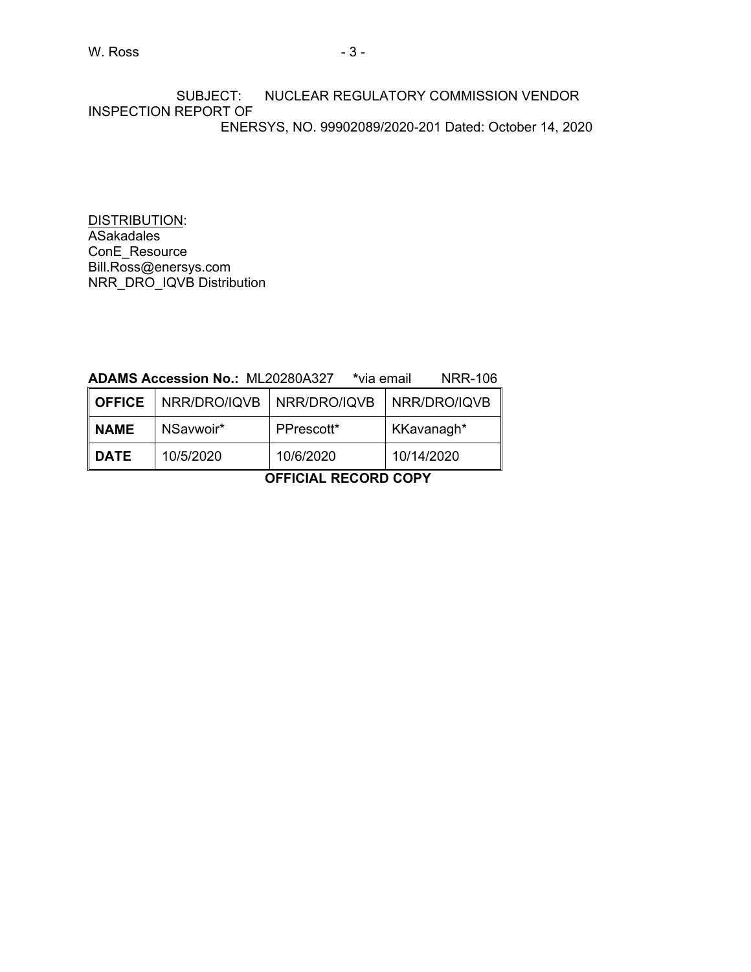SUBJECT: NUCLEAR REGULATORY COMMISSION VENDOR INSPECTION REPORT OF ENERSYS, NO. 99902089/2020-201 Dated: October 14, 2020

DISTRIBUTION: **ASakadales** ConE\_Resource Bill.Ross@enersys.com NRR\_DRO\_IQVB Distribution

## **ADAMS Accession No.:** ML20280A327 **\***via email NRR-106

| <b>OFFICE</b> | NRR/DRO/IQVB   NRR/DRO/IQVB |            | NRR/DRO/IQVB |
|---------------|-----------------------------|------------|--------------|
| <b>NAME</b>   | NSaywoir*                   | PPrescott* | KKavanagh*   |
| <b>DATE</b>   | 10/5/2020                   | 10/6/2020  | 10/14/2020   |

**OFFICIAL RECORD COPY**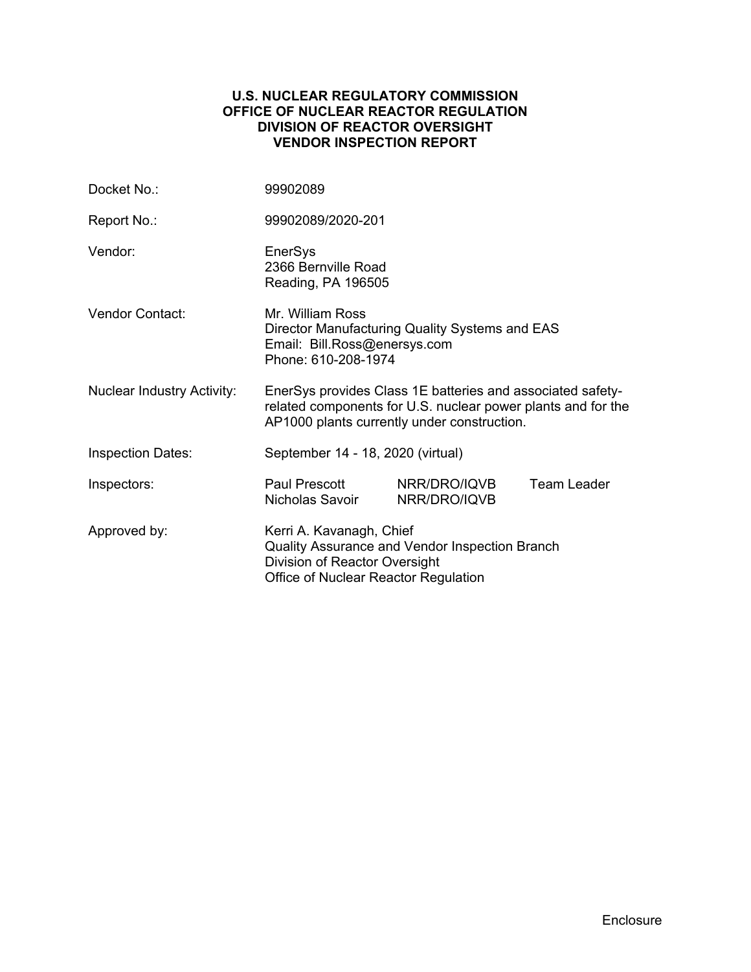### **U.S. NUCLEAR REGULATORY COMMISSION OFFICE OF NUCLEAR REACTOR REGULATION DIVISION OF REACTOR OVERSIGHT VENDOR INSPECTION REPORT**

| Docket No.:                       | 99902089                                                                                                                                                                  |                              |                    |  |  |
|-----------------------------------|---------------------------------------------------------------------------------------------------------------------------------------------------------------------------|------------------------------|--------------------|--|--|
| Report No.:                       | 99902089/2020-201                                                                                                                                                         |                              |                    |  |  |
| Vendor:                           | EnerSys<br>2366 Bernville Road<br>Reading, PA 196505                                                                                                                      |                              |                    |  |  |
| Vendor Contact:                   | Mr. William Ross<br>Director Manufacturing Quality Systems and EAS<br>Email: Bill.Ross@enersys.com<br>Phone: 610-208-1974                                                 |                              |                    |  |  |
| <b>Nuclear Industry Activity:</b> | EnerSys provides Class 1E batteries and associated safety-<br>related components for U.S. nuclear power plants and for the<br>AP1000 plants currently under construction. |                              |                    |  |  |
| <b>Inspection Dates:</b>          | September 14 - 18, 2020 (virtual)                                                                                                                                         |                              |                    |  |  |
| Inspectors:                       | Paul Prescott<br>Nicholas Savoir                                                                                                                                          | NRR/DRO/IQVB<br>NRR/DRO/IQVB | <b>Team Leader</b> |  |  |
| Approved by:                      | Kerri A. Kavanagh, Chief<br>Quality Assurance and Vendor Inspection Branch<br>Division of Reactor Oversight<br>Office of Nuclear Reactor Regulation                       |                              |                    |  |  |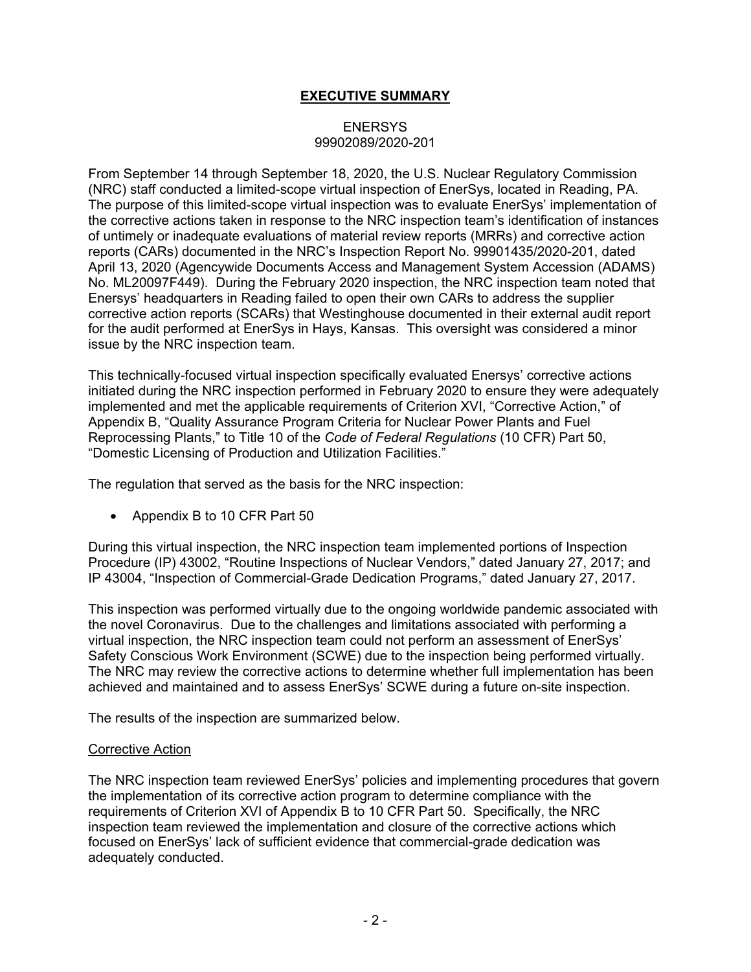# **EXECUTIVE SUMMARY**

## **ENERSYS** 99902089/2020-201

From September 14 through September 18, 2020, the U.S. Nuclear Regulatory Commission (NRC) staff conducted a limited-scope virtual inspection of EnerSys, located in Reading, PA. The purpose of this limited-scope virtual inspection was to evaluate EnerSys' implementation of the corrective actions taken in response to the NRC inspection team's identification of instances of untimely or inadequate evaluations of material review reports (MRRs) and corrective action reports (CARs) documented in the NRC's Inspection Report No. 99901435/2020-201, dated April 13, 2020 (Agencywide Documents Access and Management System Accession (ADAMS) No. ML20097F449). During the February 2020 inspection, the NRC inspection team noted that Enersys' headquarters in Reading failed to open their own CARs to address the supplier corrective action reports (SCARs) that Westinghouse documented in their external audit report for the audit performed at EnerSys in Hays, Kansas. This oversight was considered a minor issue by the NRC inspection team.

This technically-focused virtual inspection specifically evaluated Enersys' corrective actions initiated during the NRC inspection performed in February 2020 to ensure they were adequately implemented and met the applicable requirements of Criterion XVI, "Corrective Action," of Appendix B, "Quality Assurance Program Criteria for Nuclear Power Plants and Fuel Reprocessing Plants," to Title 10 of the *Code of Federal Regulations* (10 CFR) Part 50, "Domestic Licensing of Production and Utilization Facilities."

The regulation that served as the basis for the NRC inspection:

• Appendix B to 10 CFR Part 50

During this virtual inspection, the NRC inspection team implemented portions of Inspection Procedure (IP) 43002, "Routine Inspections of Nuclear Vendors," dated January 27, 2017; and IP 43004, "Inspection of Commercial-Grade Dedication Programs," dated January 27, 2017.

This inspection was performed virtually due to the ongoing worldwide pandemic associated with the novel Coronavirus. Due to the challenges and limitations associated with performing a virtual inspection, the NRC inspection team could not perform an assessment of EnerSys' Safety Conscious Work Environment (SCWE) due to the inspection being performed virtually. The NRC may review the corrective actions to determine whether full implementation has been achieved and maintained and to assess EnerSys' SCWE during a future on-site inspection.

The results of the inspection are summarized below.

#### **Corrective Action**

The NRC inspection team reviewed EnerSys' policies and implementing procedures that govern the implementation of its corrective action program to determine compliance with the requirements of Criterion XVI of Appendix B to 10 CFR Part 50. Specifically, the NRC inspection team reviewed the implementation and closure of the corrective actions which focused on EnerSys' lack of sufficient evidence that commercial-grade dedication was adequately conducted.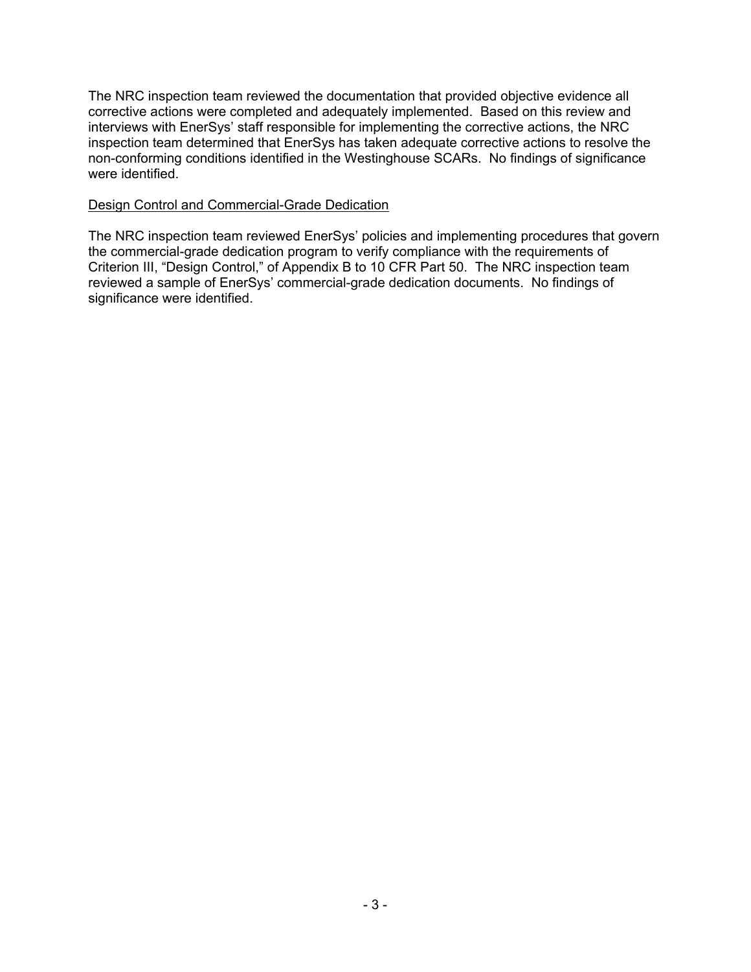The NRC inspection team reviewed the documentation that provided objective evidence all corrective actions were completed and adequately implemented. Based on this review and interviews with EnerSys' staff responsible for implementing the corrective actions, the NRC inspection team determined that EnerSys has taken adequate corrective actions to resolve the non-conforming conditions identified in the Westinghouse SCARs. No findings of significance were identified.

## Design Control and Commercial-Grade Dedication

The NRC inspection team reviewed EnerSys' policies and implementing procedures that govern the commercial-grade dedication program to verify compliance with the requirements of Criterion III, "Design Control," of Appendix B to 10 CFR Part 50. The NRC inspection team reviewed a sample of EnerSys' commercial-grade dedication documents. No findings of significance were identified.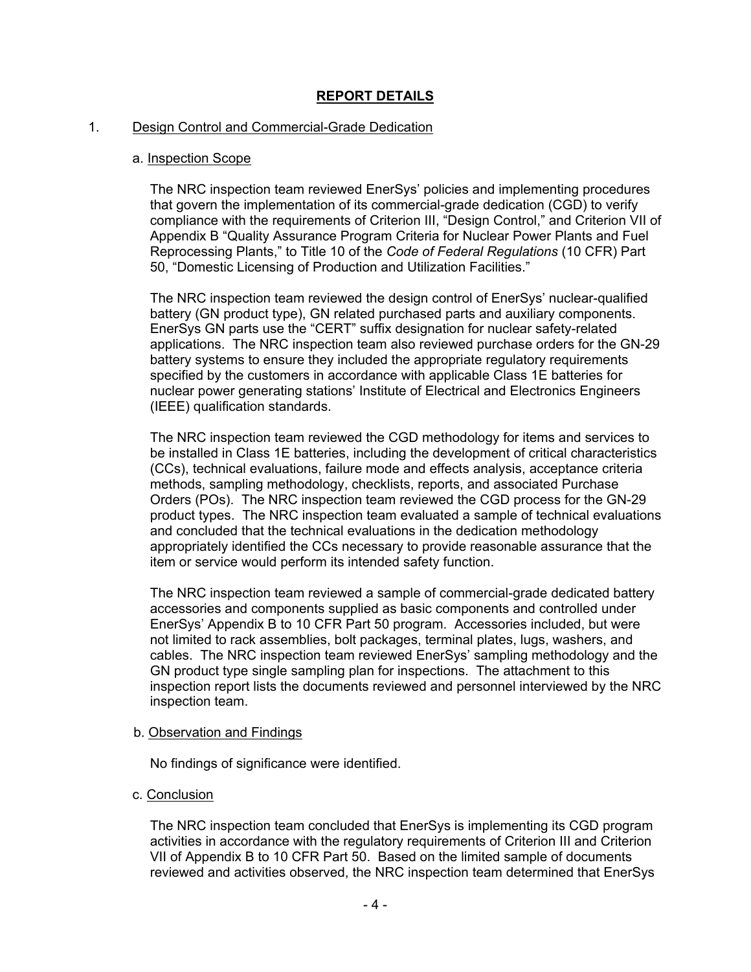# **REPORT DETAILS**

#### 1. Design Control and Commercial-Grade Dedication

#### a. Inspection Scope

The NRC inspection team reviewed EnerSys' policies and implementing procedures that govern the implementation of its commercial-grade dedication (CGD) to verify compliance with the requirements of Criterion III, "Design Control," and Criterion VII of Appendix B "Quality Assurance Program Criteria for Nuclear Power Plants and Fuel Reprocessing Plants," to Title 10 of the *Code of Federal Regulations* (10 CFR) Part 50, "Domestic Licensing of Production and Utilization Facilities."

The NRC inspection team reviewed the design control of EnerSys' nuclear-qualified battery (GN product type), GN related purchased parts and auxiliary components. EnerSys GN parts use the "CERT" suffix designation for nuclear safety-related applications. The NRC inspection team also reviewed purchase orders for the GN-29 battery systems to ensure they included the appropriate regulatory requirements specified by the customers in accordance with applicable Class 1E batteries for nuclear power generating stations' Institute of Electrical and Electronics Engineers (IEEE) qualification standards.

The NRC inspection team reviewed the CGD methodology for items and services to be installed in Class 1E batteries, including the development of critical characteristics (CCs), technical evaluations, failure mode and effects analysis, acceptance criteria methods, sampling methodology, checklists, reports, and associated Purchase Orders (POs). The NRC inspection team reviewed the CGD process for the GN-29 product types. The NRC inspection team evaluated a sample of technical evaluations and concluded that the technical evaluations in the dedication methodology appropriately identified the CCs necessary to provide reasonable assurance that the item or service would perform its intended safety function.

The NRC inspection team reviewed a sample of commercial-grade dedicated battery accessories and components supplied as basic components and controlled under EnerSys' Appendix B to 10 CFR Part 50 program. Accessories included, but were not limited to rack assemblies, bolt packages, terminal plates, lugs, washers, and cables. The NRC inspection team reviewed EnerSys' sampling methodology and the GN product type single sampling plan for inspections. The attachment to this inspection report lists the documents reviewed and personnel interviewed by the NRC inspection team.

### b. Observation and Findings

No findings of significance were identified.

#### c. Conclusion

The NRC inspection team concluded that EnerSys is implementing its CGD program activities in accordance with the regulatory requirements of Criterion III and Criterion VII of Appendix B to 10 CFR Part 50. Based on the limited sample of documents reviewed and activities observed, the NRC inspection team determined that EnerSys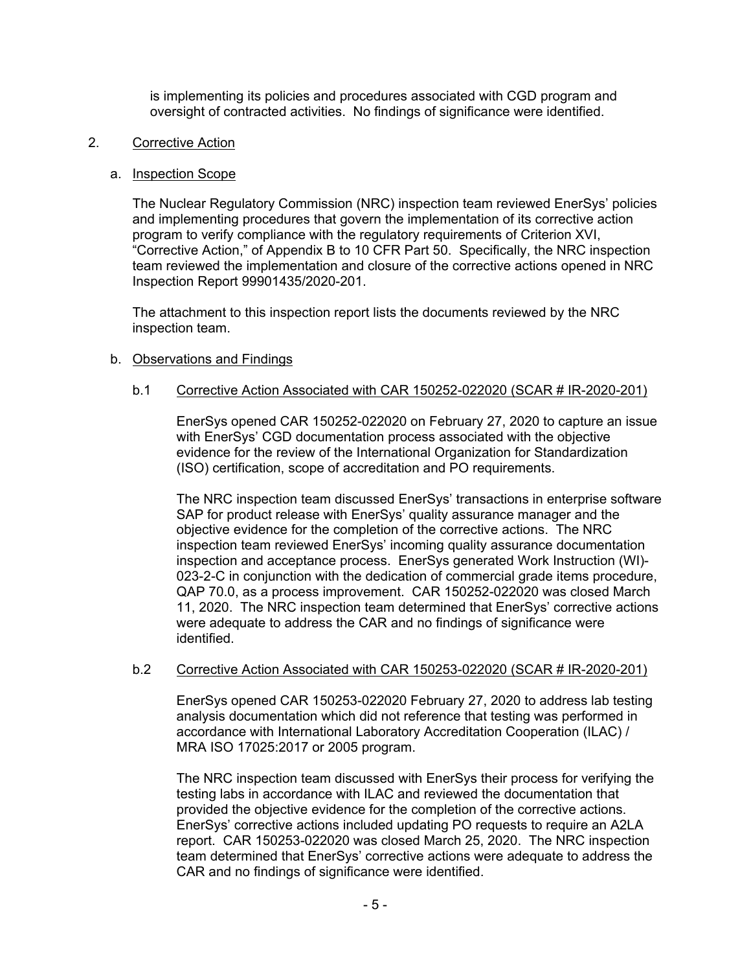is implementing its policies and procedures associated with CGD program and oversight of contracted activities. No findings of significance were identified.

### 2. Corrective Action

#### a. Inspection Scope

The Nuclear Regulatory Commission (NRC) inspection team reviewed EnerSys' policies and implementing procedures that govern the implementation of its corrective action program to verify compliance with the regulatory requirements of Criterion XVI, "Corrective Action," of Appendix B to 10 CFR Part 50. Specifically, the NRC inspection team reviewed the implementation and closure of the corrective actions opened in NRC Inspection Report 99901435/2020-201.

The attachment to this inspection report lists the documents reviewed by the NRC inspection team.

### b. Observations and Findings

### b.1 Corrective Action Associated with CAR 150252-022020 (SCAR # IR-2020-201)

EnerSys opened CAR 150252-022020 on February 27, 2020 to capture an issue with EnerSys' CGD documentation process associated with the objective evidence for the review of the International Organization for Standardization (ISO) certification, scope of accreditation and PO requirements.

The NRC inspection team discussed EnerSys' transactions in enterprise software SAP for product release with EnerSys' quality assurance manager and the objective evidence for the completion of the corrective actions. The NRC inspection team reviewed EnerSys' incoming quality assurance documentation inspection and acceptance process. EnerSys generated Work Instruction (WI)- 023-2-C in conjunction with the dedication of commercial grade items procedure, QAP 70.0, as a process improvement. CAR 150252-022020 was closed March 11, 2020. The NRC inspection team determined that EnerSys' corrective actions were adequate to address the CAR and no findings of significance were identified.

#### b.2 Corrective Action Associated with CAR 150253-022020 (SCAR # IR-2020-201)

EnerSys opened CAR 150253-022020 February 27, 2020 to address lab testing analysis documentation which did not reference that testing was performed in accordance with International Laboratory Accreditation Cooperation (ILAC) / MRA ISO 17025:2017 or 2005 program.

The NRC inspection team discussed with EnerSys their process for verifying the testing labs in accordance with ILAC and reviewed the documentation that provided the objective evidence for the completion of the corrective actions. EnerSys' corrective actions included updating PO requests to require an A2LA report. CAR 150253-022020 was closed March 25, 2020. The NRC inspection team determined that EnerSys' corrective actions were adequate to address the CAR and no findings of significance were identified.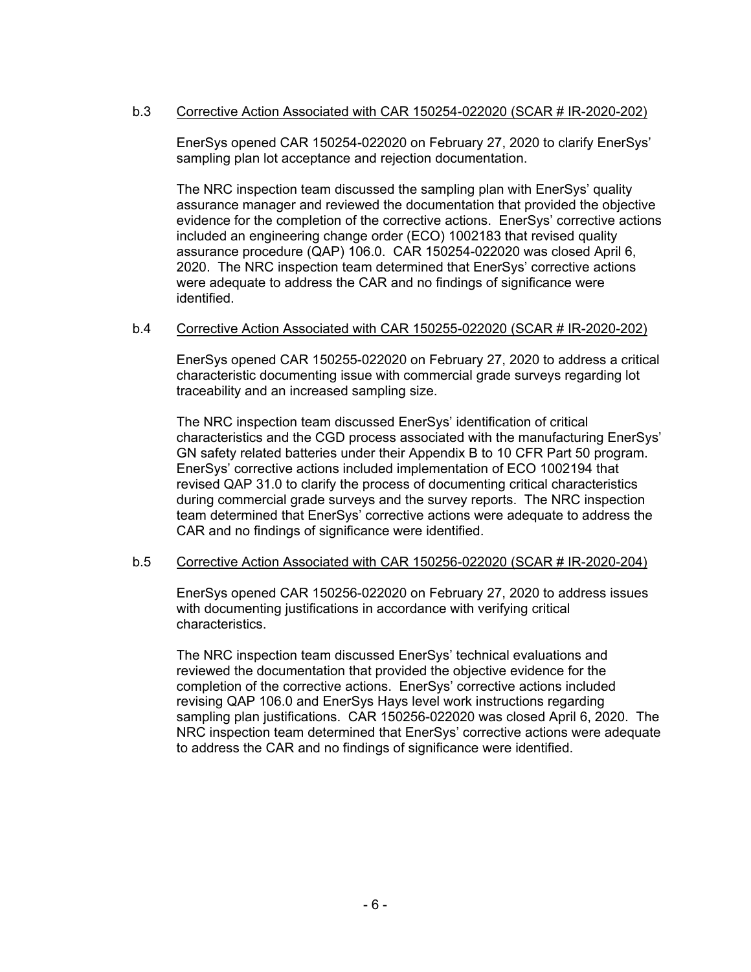# b.3 Corrective Action Associated with CAR 150254-022020 (SCAR # IR-2020-202)

EnerSys opened CAR 150254-022020 on February 27, 2020 to clarify EnerSys' sampling plan lot acceptance and rejection documentation.

The NRC inspection team discussed the sampling plan with EnerSys' quality assurance manager and reviewed the documentation that provided the objective evidence for the completion of the corrective actions. EnerSys' corrective actions included an engineering change order (ECO) 1002183 that revised quality assurance procedure (QAP) 106.0. CAR 150254-022020 was closed April 6, 2020. The NRC inspection team determined that EnerSys' corrective actions were adequate to address the CAR and no findings of significance were identified.

### b.4 Corrective Action Associated with CAR 150255-022020 (SCAR # IR-2020-202)

EnerSys opened CAR 150255-022020 on February 27, 2020 to address a critical characteristic documenting issue with commercial grade surveys regarding lot traceability and an increased sampling size.

The NRC inspection team discussed EnerSys' identification of critical characteristics and the CGD process associated with the manufacturing EnerSys' GN safety related batteries under their Appendix B to 10 CFR Part 50 program. EnerSys' corrective actions included implementation of ECO 1002194 that revised QAP 31.0 to clarify the process of documenting critical characteristics during commercial grade surveys and the survey reports. The NRC inspection team determined that EnerSys' corrective actions were adequate to address the CAR and no findings of significance were identified.

#### b.5 Corrective Action Associated with CAR 150256-022020 (SCAR # IR-2020-204)

EnerSys opened CAR 150256-022020 on February 27, 2020 to address issues with documenting justifications in accordance with verifying critical characteristics.

The NRC inspection team discussed EnerSys' technical evaluations and reviewed the documentation that provided the objective evidence for the completion of the corrective actions. EnerSys' corrective actions included revising QAP 106.0 and EnerSys Hays level work instructions regarding sampling plan justifications. CAR 150256-022020 was closed April 6, 2020. The NRC inspection team determined that EnerSys' corrective actions were adequate to address the CAR and no findings of significance were identified.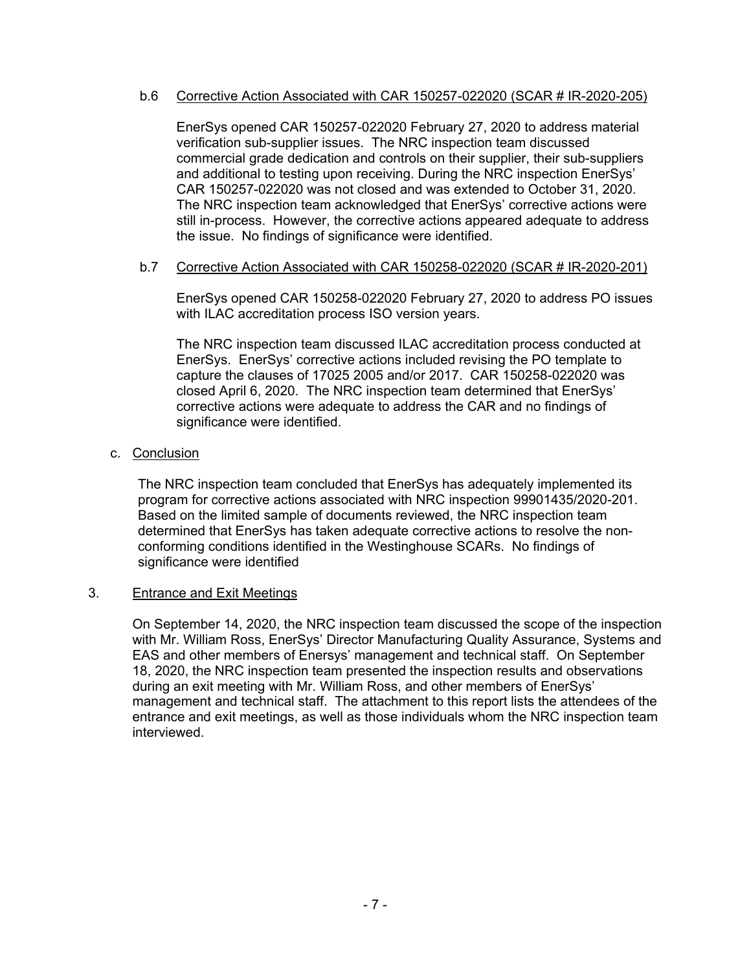## b.6 Corrective Action Associated with CAR 150257-022020 (SCAR # IR-2020-205)

EnerSys opened CAR 150257-022020 February 27, 2020 to address material verification sub-supplier issues. The NRC inspection team discussed commercial grade dedication and controls on their supplier, their sub-suppliers and additional to testing upon receiving. During the NRC inspection EnerSys' CAR 150257-022020 was not closed and was extended to October 31, 2020. The NRC inspection team acknowledged that EnerSys' corrective actions were still in-process. However, the corrective actions appeared adequate to address the issue. No findings of significance were identified.

### b.7 Corrective Action Associated with CAR 150258-022020 (SCAR # IR-2020-201)

EnerSys opened CAR 150258-022020 February 27, 2020 to address PO issues with ILAC accreditation process ISO version years.

The NRC inspection team discussed ILAC accreditation process conducted at EnerSys. EnerSys' corrective actions included revising the PO template to capture the clauses of 17025 2005 and/or 2017. CAR 150258-022020 was closed April 6, 2020. The NRC inspection team determined that EnerSys' corrective actions were adequate to address the CAR and no findings of significance were identified.

## c. Conclusion

The NRC inspection team concluded that EnerSys has adequately implemented its program for corrective actions associated with NRC inspection 99901435/2020-201. Based on the limited sample of documents reviewed, the NRC inspection team determined that EnerSys has taken adequate corrective actions to resolve the nonconforming conditions identified in the Westinghouse SCARs. No findings of significance were identified

#### 3. Entrance and Exit Meetings

On September 14, 2020, the NRC inspection team discussed the scope of the inspection with Mr. William Ross, EnerSys' Director Manufacturing Quality Assurance, Systems and EAS and other members of Enersys' management and technical staff. On September 18, 2020, the NRC inspection team presented the inspection results and observations during an exit meeting with Mr. William Ross, and other members of EnerSys' management and technical staff. The attachment to this report lists the attendees of the entrance and exit meetings, as well as those individuals whom the NRC inspection team interviewed.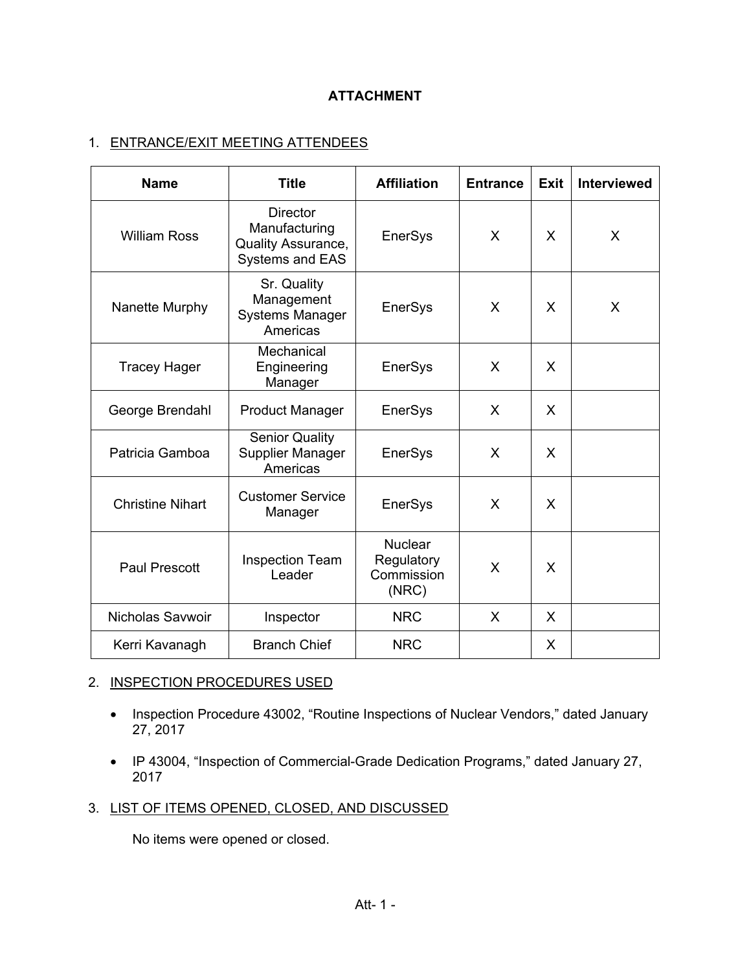# **ATTACHMENT**

# 1. ENTRANCE/EXIT MEETING ATTENDEES

| <b>Name</b>             | <b>Title</b>                                                                     | <b>Affiliation</b>                                  | <b>Entrance</b> | <b>Exit</b> | <b>Interviewed</b> |
|-------------------------|----------------------------------------------------------------------------------|-----------------------------------------------------|-----------------|-------------|--------------------|
| <b>William Ross</b>     | <b>Director</b><br>Manufacturing<br>Quality Assurance,<br><b>Systems and EAS</b> | EnerSys                                             | X               | X           | X                  |
| Nanette Murphy          | Sr. Quality<br>Management<br><b>Systems Manager</b><br>Americas                  | <b>EnerSys</b>                                      | X               | X           | X                  |
| <b>Tracey Hager</b>     | Mechanical<br>Engineering<br>Manager                                             | <b>EnerSys</b>                                      | X               | X           |                    |
| George Brendahl         | <b>Product Manager</b>                                                           | EnerSys                                             | X               | X           |                    |
| Patricia Gamboa         | <b>Senior Quality</b><br><b>Supplier Manager</b><br>Americas                     | <b>EnerSys</b>                                      | X               | X           |                    |
| <b>Christine Nihart</b> | <b>Customer Service</b><br>Manager                                               | <b>EnerSys</b>                                      | $\mathsf{X}$    | X           |                    |
| <b>Paul Prescott</b>    | <b>Inspection Team</b><br>Leader                                                 | <b>Nuclear</b><br>Regulatory<br>Commission<br>(NRC) | X               | X           |                    |
| Nicholas Savwoir        | Inspector                                                                        | <b>NRC</b>                                          | X               | X           |                    |
| Kerri Kavanagh          | <b>Branch Chief</b>                                                              | <b>NRC</b>                                          |                 | X           |                    |

# 2. INSPECTION PROCEDURES USED

- Inspection Procedure 43002, "Routine Inspections of Nuclear Vendors," dated January 27, 2017
- IP 43004, "Inspection of Commercial-Grade Dedication Programs," dated January 27, 2017
- 3. LIST OF ITEMS OPENED, CLOSED, AND DISCUSSED

No items were opened or closed.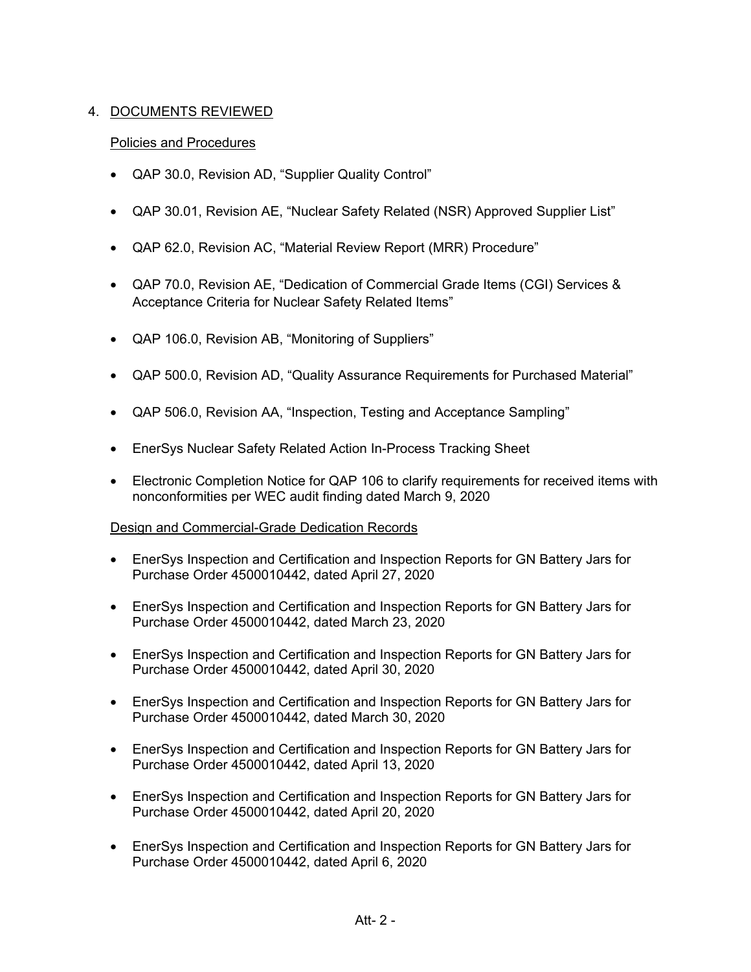# 4. DOCUMENTS REVIEWED

# Policies and Procedures

- QAP 30.0, Revision AD, "Supplier Quality Control"
- QAP 30.01, Revision AE, "Nuclear Safety Related (NSR) Approved Supplier List"
- QAP 62.0, Revision AC, "Material Review Report (MRR) Procedure"
- QAP 70.0, Revision AE, "Dedication of Commercial Grade Items (CGI) Services & Acceptance Criteria for Nuclear Safety Related Items"
- QAP 106.0, Revision AB, "Monitoring of Suppliers"
- QAP 500.0, Revision AD, "Quality Assurance Requirements for Purchased Material"
- QAP 506.0, Revision AA, "Inspection, Testing and Acceptance Sampling"
- EnerSys Nuclear Safety Related Action In-Process Tracking Sheet
- Electronic Completion Notice for QAP 106 to clarify requirements for received items with nonconformities per WEC audit finding dated March 9, 2020

## Design and Commercial-Grade Dedication Records

- EnerSys Inspection and Certification and Inspection Reports for GN Battery Jars for Purchase Order 4500010442, dated April 27, 2020
- EnerSys Inspection and Certification and Inspection Reports for GN Battery Jars for Purchase Order 4500010442, dated March 23, 2020
- EnerSys Inspection and Certification and Inspection Reports for GN Battery Jars for Purchase Order 4500010442, dated April 30, 2020
- EnerSys Inspection and Certification and Inspection Reports for GN Battery Jars for Purchase Order 4500010442, dated March 30, 2020
- EnerSys Inspection and Certification and Inspection Reports for GN Battery Jars for Purchase Order 4500010442, dated April 13, 2020
- EnerSys Inspection and Certification and Inspection Reports for GN Battery Jars for Purchase Order 4500010442, dated April 20, 2020
- EnerSys Inspection and Certification and Inspection Reports for GN Battery Jars for Purchase Order 4500010442, dated April 6, 2020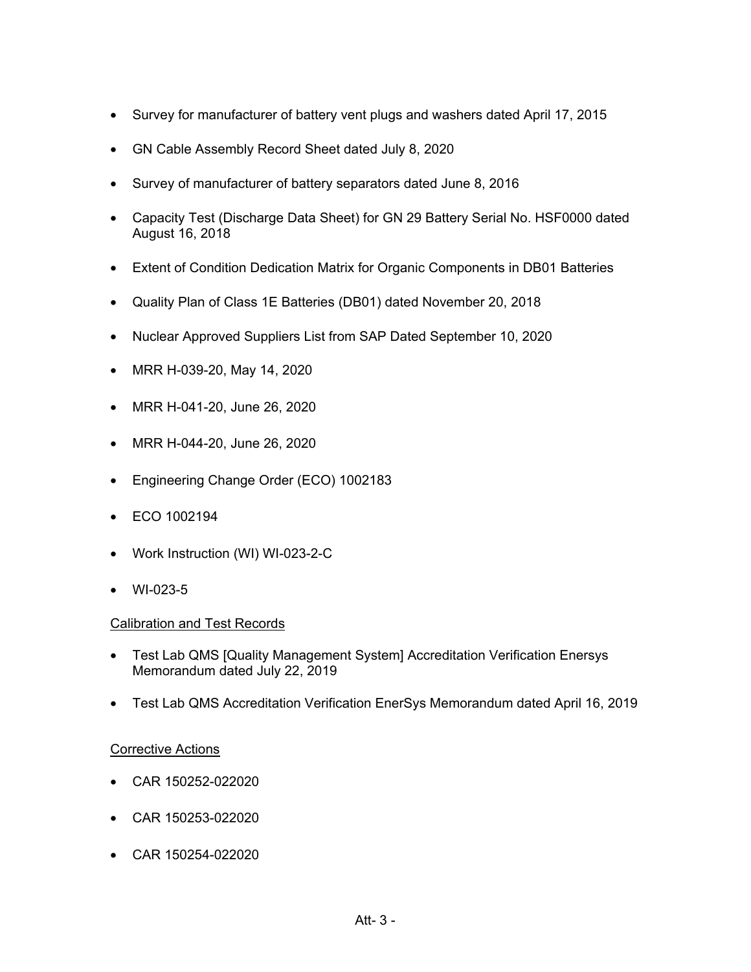- Survey for manufacturer of battery vent plugs and washers dated April 17, 2015
- GN Cable Assembly Record Sheet dated July 8, 2020
- Survey of manufacturer of battery separators dated June 8, 2016
- Capacity Test (Discharge Data Sheet) for GN 29 Battery Serial No. HSF0000 dated August 16, 2018
- Extent of Condition Dedication Matrix for Organic Components in DB01 Batteries
- Quality Plan of Class 1E Batteries (DB01) dated November 20, 2018
- Nuclear Approved Suppliers List from SAP Dated September 10, 2020
- MRR H-039-20, May 14, 2020
- MRR H-041-20, June 26, 2020
- MRR H-044-20, June 26, 2020
- Engineering Change Order (ECO) 1002183
- ECO 1002194
- Work Instruction (WI) WI-023-2-C
- WI-023-5

## Calibration and Test Records

- Test Lab QMS [Quality Management System] Accreditation Verification Enersys Memorandum dated July 22, 2019
- Test Lab QMS Accreditation Verification EnerSys Memorandum dated April 16, 2019

## **Corrective Actions**

- CAR 150252-022020
- CAR 150253-022020
- CAR 150254-022020